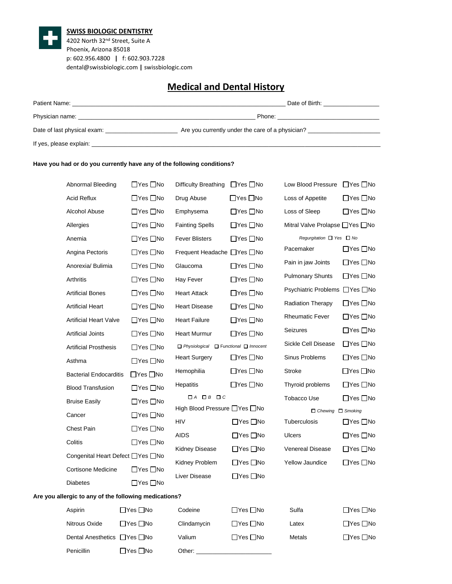

## **SWISS BIOLOGIC DENTISTRY**

4202 North 32nd Street, Suite A Phoenix, Arizona 85018 p: 602.956.4800 **|** f: 602.903.7228 dental@swissbiologic.com **|** swissbiologic.com

## **Medical and Dental History**

| Patient Name: The Contract of the Contract of the Contract of the Contract of the Contract of the Contract of the Contract of the Contract of the Contract of the Contract of the Contract of the Contract of the Contract of | Date of Birth: Date of Birth:                    |
|-------------------------------------------------------------------------------------------------------------------------------------------------------------------------------------------------------------------------------|--------------------------------------------------|
|                                                                                                                                                                                                                               | Phone: ____________________                      |
| Date of last physical exam:                                                                                                                                                                                                   | Are you currently under the care of a physician? |
|                                                                                                                                                                                                                               |                                                  |

## **Have you had or do you currently have any of the following conditions?**

Penicillin □ Yes □ No

| Abnormal Bleeding                                     | □Yes □No             | Difficulty Breathing                                   | □Yes □No             | Low Blood Pressure               | $\Box$ Yes $\Box$ No |
|-------------------------------------------------------|----------------------|--------------------------------------------------------|----------------------|----------------------------------|----------------------|
| <b>Acid Reflux</b>                                    | $\Box$ Yes $\Box$ No | Drug Abuse                                             | $\Box$ Yes $\Box$ No | Loss of Appetite                 | $\Box$ Yes $\Box$ No |
| Alcohol Abuse                                         | $\Box$ Yes $\Box$ No | Emphysema                                              | $\Box$ Yes $\Box$ No | Loss of Sleep                    | $\Box$ Yes $\Box$ No |
| Allergies                                             | $\Box$ Yes $\Box$ No | <b>Fainting Spells</b>                                 | $\Box$ Yes $\Box$ No | Mitral Valve Prolapse □ Yes □ No |                      |
| Anemia                                                | $\Box$ Yes $\Box$ No | <b>Fever Blisters</b>                                  | $\Box$ Yes $\Box$ No | Regurgitation □ Yes □ No         |                      |
| Angina Pectoris                                       | $\Box$ Yes $\Box$ No | Frequent Headache □ Yes □ No                           |                      | Pacemaker                        | $\Box$ Yes $\Box$ No |
| Anorexia/ Bulimia                                     | $\Box$ Yes $\Box$ No | Glaucoma                                               | $\Box$ Yes $\Box$ No | Pain in jaw Joints               | $\Box$ Yes $\Box$ No |
| Arthritis                                             | $\Box$ Yes $\Box$ No | Hay Fever                                              | $\Box$ Yes $\Box$ No | <b>Pulmonary Shunts</b>          | $\Box$ Yes $\Box$ No |
| <b>Artificial Bones</b>                               | $\Box$ Yes $\Box$ No | <b>Heart Attack</b>                                    | $\Box$ Yes $\Box$ No | Psychiatric Problems □ Yes □ No  |                      |
| <b>Artificial Heart</b>                               | $\Box$ Yes $\Box$ No | <b>Heart Disease</b>                                   | $\Box$ Yes $\Box$ No | <b>Radiation Therapy</b>         | $\Box$ Yes $\Box$ No |
| <b>Artificial Heart Valve</b>                         | $\Box$ Yes $\Box$ No | <b>Heart Failure</b>                                   | $\Box$ Yes $\Box$ No | <b>Rheumatic Fever</b>           | $\Box$ Yes $\Box$ No |
| Artificial Joints                                     | $\Box$ Yes $\Box$ No | <b>Heart Murmur</b>                                    | $\Box$ Yes $\Box$ No | <b>Seizures</b>                  | $\Box$ Yes $\Box$ No |
| <b>Artificial Prosthesis</b>                          | $\Box$ Yes $\Box$ No | $\Box$ Physiological $\Box$ Functional $\Box$ Innocent |                      | Sickle Cell Disease              | $\Box$ Yes $\Box$ No |
| Asthma                                                | $\Box$ Yes $\Box$ No | <b>Heart Surgery</b>                                   | $\Box$ Yes $\Box$ No | Sinus Problems                   | $\Box$ Yes $\Box$ No |
| <b>Bacterial Endocarditis</b>                         | $\Box$ Yes $\Box$ No | Hemophilia                                             | $\Box$ Yes $\Box$ No | Stroke                           | □Yes □No             |
| <b>Blood Transfusion</b>                              | $\Box$ Yes $\Box$ No | <b>Hepatitis</b>                                       | $\Box$ Yes $\Box$ No | Thyroid problems                 | $\Box$ Yes $\Box$ No |
| <b>Bruise Easily</b>                                  | $\Box$ Yes $\Box$ No | $\Box A$ $\Box B$ $\Box C$                             |                      | <b>Tobacco Use</b>               | $\Box$ Yes $\Box$ No |
| Cancer                                                | $\Box$ Yes $\Box$ No | High Blood Pressure □ Yes □ No                         |                      | $\Box$ Chewing $\Box$ Smoking    |                      |
| <b>Chest Pain</b>                                     | $\Box$ Yes $\Box$ No | <b>HIV</b>                                             | $\Box$ Yes $\Box$ No | Tuberculosis                     | $\Box$ Yes $\Box$ No |
| Colitis                                               | $\Box$ Yes $\Box$ No | AIDS                                                   | $\Box$ Yes $\Box$ No | <b>Ulcers</b>                    | $\Box$ Yes $\Box$ No |
| Congenital Heart Defect □ Yes □ No                    |                      | <b>Kidney Disease</b>                                  | $\Box$ Yes $\Box$ No | <b>Venereal Disease</b>          | $\Box$ Yes $\Box$ No |
| <b>Cortisone Medicine</b>                             | $\Box$ Yes $\Box$ No | Kidney Problem                                         | $\Box$ Yes $\Box$ No | <b>Yellow Jaundice</b>           | □Yes □No             |
| <b>Diabetes</b>                                       | $\Box$ Yes $\Box$ No | Liver Disease                                          | $\Box$ Yes $\Box$ No |                                  |                      |
| Are you allergic to any of the following medications? |                      |                                                        |                      |                                  |                      |
| Aspirin                                               | $\Box$ Yes $\Box$ No | Codeine                                                | $\Box$ Yes $\Box$ No | Sulfa                            | ⊟Yes □No             |
| Nitrous Oxide                                         | $\Box$ Yes $\Box$ No | Clindamycin                                            | $\Box$ Yes $\Box$ No | Latex                            | □Yes □No             |
| Dental Anesthetics ■ Yes ■ No                         |                      | Valium                                                 | $\Box$ Yes $\Box$ No | Metals                           | □Yes □No             |
|                                                       |                      |                                                        |                      |                                  |                      |

Other:  $\_$